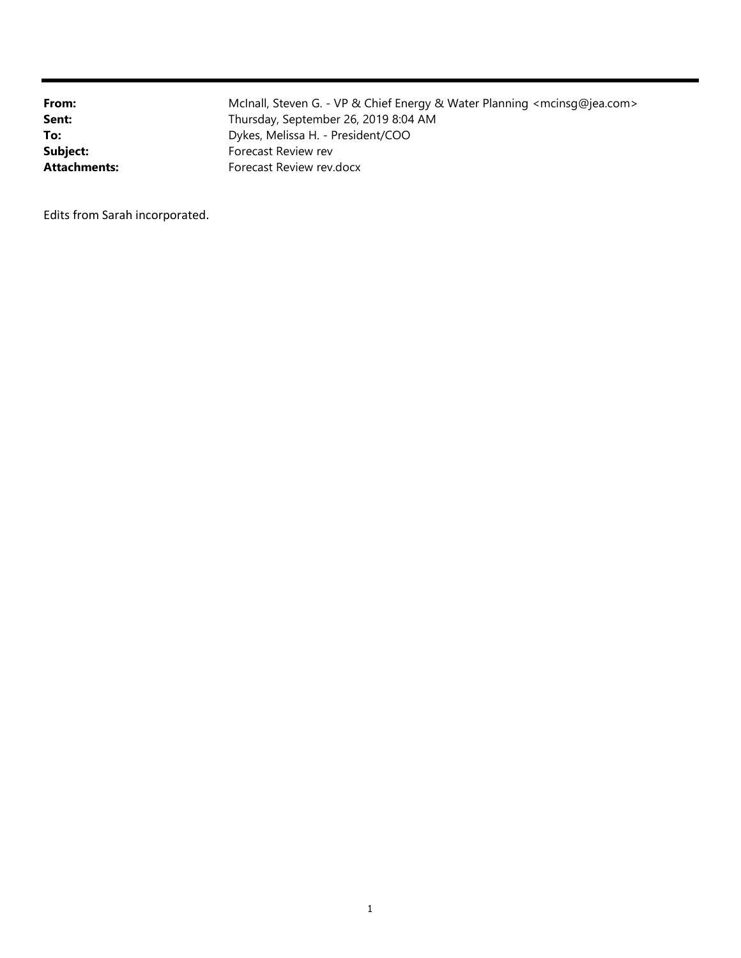| From:               | McInall, Steven G. - VP & Chief Energy & Water Planning <mcinsq@jea.com></mcinsq@jea.com> |
|---------------------|-------------------------------------------------------------------------------------------|
| Sent:               | Thursday, September 26, 2019 8:04 AM                                                      |
| To:                 | Dykes, Melissa H. - President/COO                                                         |
| Subject:            | Forecast Review rev                                                                       |
| <b>Attachments:</b> | Forecast Review rev.docx                                                                  |

Edits from Sarah incorporated.